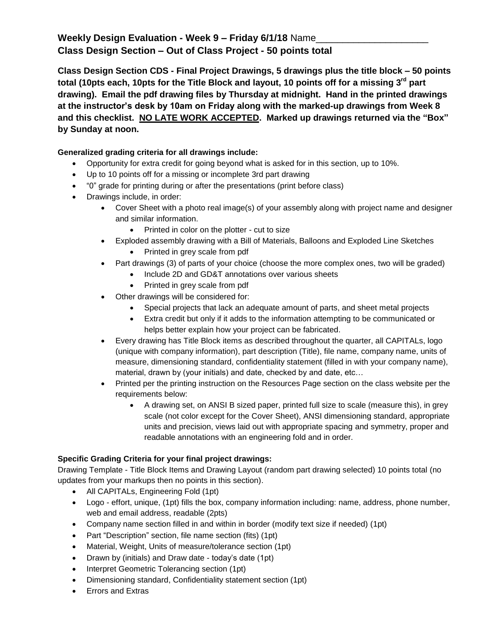## **Weekly Design Evaluation - Week 9 – Friday 6/1/18** Name\_\_\_\_\_\_\_\_\_\_\_\_\_\_\_\_\_\_\_\_\_ **Class Design Section – Out of Class Project - 50 points total**

**Class Design Section CDS - Final Project Drawings, 5 drawings plus the title block – 50 points total (10pts each, 10pts for the Title Block and layout, 10 points off for a missing 3rd part drawing). Email the pdf drawing files by Thursday at midnight. Hand in the printed drawings at the instructor's desk by 10am on Friday along with the marked-up drawings from Week 8 and this checklist. NO LATE WORK ACCEPTED. Marked up drawings returned via the "Box" by Sunday at noon.**

## **Generalized grading criteria for all drawings include:**

- Opportunity for extra credit for going beyond what is asked for in this section, up to 10%.
- Up to 10 points off for a missing or incomplete 3rd part drawing
- "0" grade for printing during or after the presentations (print before class)
- Drawings include, in order:
	- Cover Sheet with a photo real image(s) of your assembly along with project name and designer and similar information.
		- Printed in color on the plotter cut to size
	- Exploded assembly drawing with a Bill of Materials, Balloons and Exploded Line Sketches • Printed in grey scale from pdf
	- Part drawings (3) of parts of your choice (choose the more complex ones, two will be graded)
		- Include 2D and GD&T annotations over various sheets
			- Printed in grey scale from pdf
	- Other drawings will be considered for:
		- Special projects that lack an adequate amount of parts, and sheet metal projects
		- Extra credit but only if it adds to the information attempting to be communicated or helps better explain how your project can be fabricated.
	- Every drawing has Title Block items as described throughout the quarter, all CAPITALs, logo (unique with company information), part description (Title), file name, company name, units of measure, dimensioning standard, confidentiality statement (filled in with your company name), material, drawn by (your initials) and date, checked by and date, etc…
	- Printed per the printing instruction on the Resources Page section on the class website per the requirements below:
		- A drawing set, on ANSI B sized paper, printed full size to scale (measure this), in grey scale (not color except for the Cover Sheet), ANSI dimensioning standard, appropriate units and precision, views laid out with appropriate spacing and symmetry, proper and readable annotations with an engineering fold and in order.

## **Specific Grading Criteria for your final project drawings:**

Drawing Template - Title Block Items and Drawing Layout (random part drawing selected) 10 points total (no updates from your markups then no points in this section).

- All CAPITALs, Engineering Fold (1pt)
- Logo effort, unique, (1pt) fills the box, company information including: name, address, phone number, web and email address, readable (2pts)
- Company name section filled in and within in border (modify text size if needed) (1pt)
- Part "Description" section, file name section (fits) (1pt)
- Material, Weight, Units of measure/tolerance section (1pt)
- Drawn by (initials) and Draw date today's date (1pt)
- Interpret Geometric Tolerancing section (1pt)
- Dimensioning standard, Confidentiality statement section (1pt)
- Errors and Extras